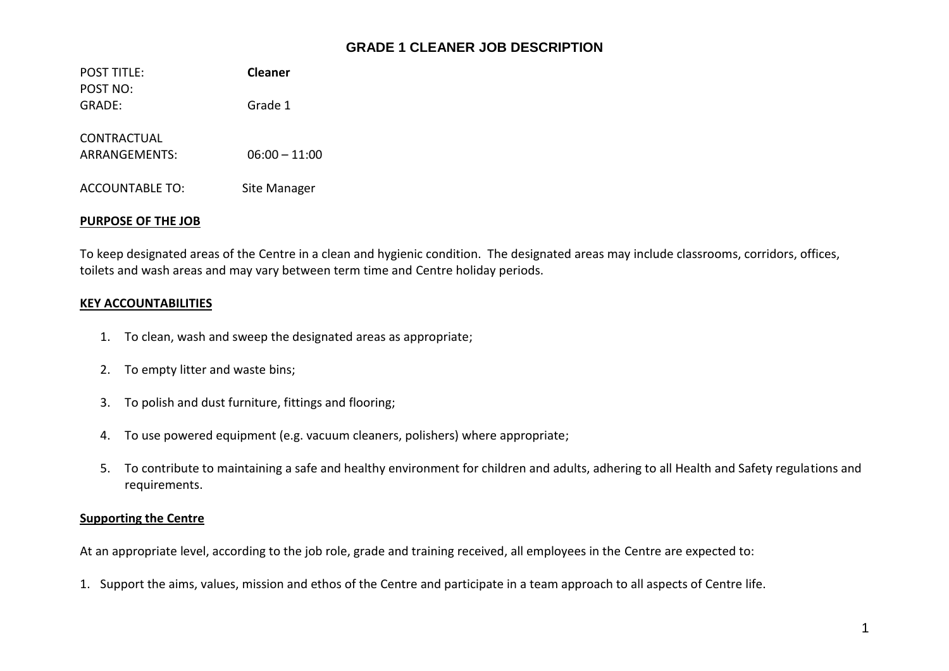# **GRADE 1 CLEANER JOB DESCRIPTION**

POST TITLE: **Cleaner** POST NO: GRADE: Grade 1 CONTRACTUAL ARRANGEMENTS: 06:00 – 11:00 ACCOUNTABLE TO: Site Manager

## **PURPOSE OF THE JOB**

To keep designated areas of the Centre in a clean and hygienic condition. The designated areas may include classrooms, corridors, offices, toilets and wash areas and may vary between term time and Centre holiday periods.

## **KEY ACCOUNTABILITIES**

- 1. To clean, wash and sweep the designated areas as appropriate;
- 2. To empty litter and waste bins;
- 3. To polish and dust furniture, fittings and flooring;
- 4. To use powered equipment (e.g. vacuum cleaners, polishers) where appropriate;
- 5. To contribute to maintaining a safe and healthy environment for children and adults, adhering to all Health and Safety regulations and requirements.

#### **Supporting the Centre**

At an appropriate level, according to the job role, grade and training received, all employees in the Centre are expected to:

1. Support the aims, values, mission and ethos of the Centre and participate in a team approach to all aspects of Centre life.